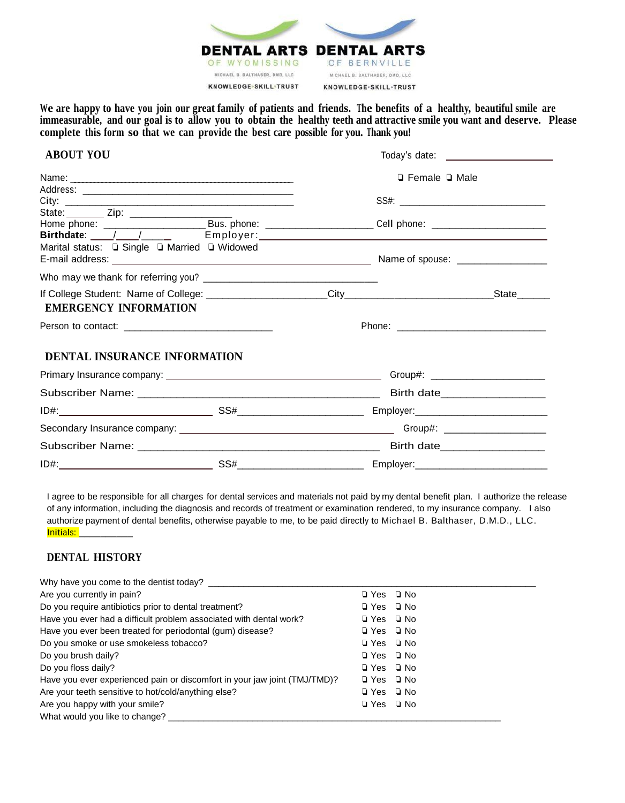

We are happy to have you join our great family of patients and friends. The benefits of a healthy, beautiful smile are immeasurable, and our goal is to allow you to obtain the healthy teeth and attractive smile you want and deserve. Please **complete this form so that we can provide the best care possible for you. Thank you!**

## **ABOUT YOU** Today's date:

|                                                |  | $\Box$ Female $\Box$ Male                                                                                      |                                            |
|------------------------------------------------|--|----------------------------------------------------------------------------------------------------------------|--------------------------------------------|
|                                                |  |                                                                                                                |                                            |
| State: _________ Zip: ________________________ |  |                                                                                                                |                                            |
|                                                |  | Home phone: ____________________________Bus. phone: _________________________Cell phone: _____________________ |                                            |
|                                                |  |                                                                                                                |                                            |
| Marital status: Q Single Q Married Q Widowed   |  |                                                                                                                |                                            |
|                                                |  |                                                                                                                |                                            |
| <b>EMERGENCY INFORMATION</b>                   |  |                                                                                                                | $_$ State $_$                              |
|                                                |  |                                                                                                                |                                            |
| DENTAL INSURANCE INFORMATION                   |  |                                                                                                                |                                            |
|                                                |  | Group#: _________________________                                                                              |                                            |
|                                                |  |                                                                                                                |                                            |
|                                                |  |                                                                                                                | Employer:_________________________________ |
|                                                |  |                                                                                                                |                                            |
|                                                |  |                                                                                                                |                                            |
|                                                |  |                                                                                                                |                                            |

I agree to be responsible for all charges for dental services and materials not paid by my dental benefit plan. I authorize the release of any information, including the diagnosis and records of treatment or examination rendered, to my insurance company. I also authorize payment of dental benefits, otherwise payable to me, to be paid directly to Michael B. Balthaser, D.M.D., LLC. Initials: \_\_\_\_\_\_\_\_\_\_

## **DENTAL HISTORY**

| Why have you come to the dentist today?                                   |                      |
|---------------------------------------------------------------------------|----------------------|
| Are you currently in pain?                                                | $\Box$ Yes $\Box$ No |
| Do you require antibiotics prior to dental treatment?                     | $\Box$ Yes $\Box$ No |
| Have you ever had a difficult problem associated with dental work?        | □ Yes □ No           |
| Have you ever been treated for periodontal (gum) disease?                 | □ Yes □ No           |
| Do you smoke or use smokeless tobacco?                                    | □ Yes □ No           |
| Do you brush daily?                                                       | □ Yes □ No           |
| Do you floss daily?                                                       | □ Yes □ No           |
| Have you ever experienced pain or discomfort in your jaw joint (TMJ/TMD)? | □ Yes □ No           |
| Are your teeth sensitive to hot/cold/anything else?                       | $\Box$ Yes $\Box$ No |
| Are you happy with your smile?                                            | $\Box$ Yes $\Box$ No |
| What would you like to change?                                            |                      |